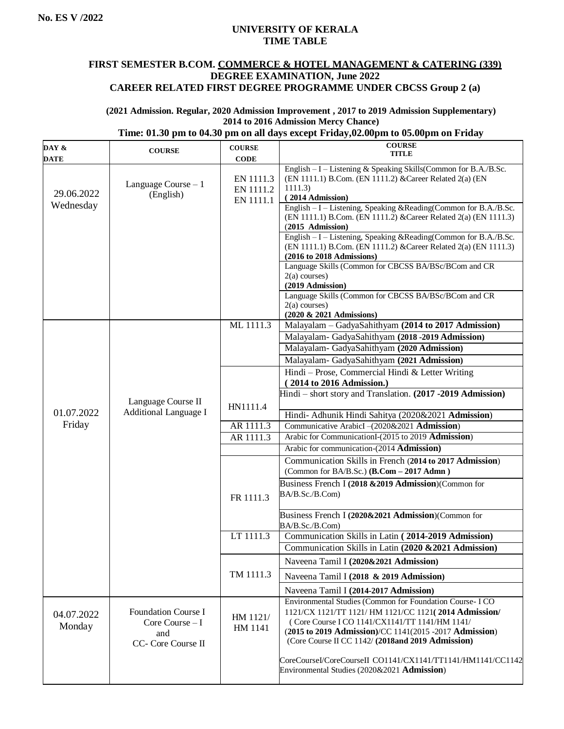## **UNIVERSITY OF KERALA TIME TABLE**

## **FIRST SEMESTER B.COM. COMMERCE & HOTEL MANAGEMENT & CATERING (339) DEGREE EXAMINATION, June 2022 CAREER RELATED FIRST DEGREE PROGRAMME UNDER CBCSS Group 2 (a)**

#### **(2021 Admission. Regular, 2020 Admission Improvement , 2017 to 2019 Admission Supplementary) 2014 to 2016 Admission Mercy Chance)**

#### **Time: 01.30 pm to 04.30 pm on all days except Friday,02.00pm to 05.00pm on Friday**

| DAY &                   | <b>COURSE</b>                                                               | <b>COURSE</b>                       | <b>COURSE</b>                                                                                                                                                                                                                                                                                                                                                                                                                                                                                                                                                                                                                                             |
|-------------------------|-----------------------------------------------------------------------------|-------------------------------------|-----------------------------------------------------------------------------------------------------------------------------------------------------------------------------------------------------------------------------------------------------------------------------------------------------------------------------------------------------------------------------------------------------------------------------------------------------------------------------------------------------------------------------------------------------------------------------------------------------------------------------------------------------------|
| <b>DATE</b>             |                                                                             | <b>CODE</b>                         | <b>TITLE</b>                                                                                                                                                                                                                                                                                                                                                                                                                                                                                                                                                                                                                                              |
| 29.06.2022<br>Wednesday | Language Course $-1$<br>(English)                                           | EN 1111.3<br>EN 1111.2<br>EN 1111.1 | English $-I$ – Listening & Speaking Skills (Common for B.A./B.Sc.<br>(EN 1111.1) B.Com. (EN 1111.2) & Career Related 2(a) (EN<br>1111.3)<br>(2014 Admission)<br>English - I - Listening, Speaking & Reading (Common for B.A./B.Sc.<br>(EN 1111.1) B.Com. (EN 1111.2) & Career Related 2(a) (EN 1111.3)<br>$(2015$ Admission)<br>English - I - Listening, Speaking & Reading(Common for B.A./B.Sc.<br>(EN 1111.1) B.Com. (EN 1111.2) & Career Related 2(a) (EN 1111.3)<br>(2016 to 2018 Admissions)<br>Language Skills (Common for CBCSS BA/BSc/BCom and CR<br>$2(a)$ courses)<br>(2019 Admission)<br>Language Skills (Common for CBCSS BA/BSc/BCom and CR |
|                         |                                                                             |                                     | $2(a)$ courses)                                                                                                                                                                                                                                                                                                                                                                                                                                                                                                                                                                                                                                           |
|                         |                                                                             | ML 1111.3                           | (2020 & 2021 Admissions)<br>Malayalam - GadyaSahithyam (2014 to 2017 Admission)                                                                                                                                                                                                                                                                                                                                                                                                                                                                                                                                                                           |
|                         |                                                                             |                                     | Malayalam- GadyaSahithyam (2018-2019 Admission)<br>Malayalam- GadyaSahithyam (2020 Admission)<br>Malayalam- GadyaSahithyam (2021 Admission)                                                                                                                                                                                                                                                                                                                                                                                                                                                                                                               |
|                         | Language Course II                                                          | HN1111.4                            | Hindi - Prose, Commercial Hindi & Letter Writing<br>(2014 to 2016 Admission.)<br>Hindi - short story and Translation. (2017 -2019 Admission)                                                                                                                                                                                                                                                                                                                                                                                                                                                                                                              |
| 01.07.2022              | <b>Additional Language I</b>                                                |                                     | Hindi- Adhunik Hindi Sahitya (2020&2021 Admission)                                                                                                                                                                                                                                                                                                                                                                                                                                                                                                                                                                                                        |
| Friday                  |                                                                             | AR 1111.3                           | Communicative ArabicI-(2020&2021 Admission)                                                                                                                                                                                                                                                                                                                                                                                                                                                                                                                                                                                                               |
|                         |                                                                             | AR 1111.3                           | Arabic for CommunicationI-(2015 to 2019 Admission)                                                                                                                                                                                                                                                                                                                                                                                                                                                                                                                                                                                                        |
|                         |                                                                             |                                     | Arabic for communication-(2014 Admission)                                                                                                                                                                                                                                                                                                                                                                                                                                                                                                                                                                                                                 |
|                         |                                                                             |                                     | Communication Skills in French (2014 to 2017 Admission)<br>(Common for BA/B.Sc.) (B.Com - 2017 Admn)                                                                                                                                                                                                                                                                                                                                                                                                                                                                                                                                                      |
|                         |                                                                             | FR 1111.3                           | Business French I (2018 & 2019 Admission) (Common for<br>BA/B.Sc./B.Com)                                                                                                                                                                                                                                                                                                                                                                                                                                                                                                                                                                                  |
|                         |                                                                             |                                     | Business French I (2020&2021 Admission)(Common for<br>BA/B.Sc./B.Com)                                                                                                                                                                                                                                                                                                                                                                                                                                                                                                                                                                                     |
|                         |                                                                             | LT 1111.3                           | Communication Skills in Latin (2014-2019 Admission)<br>Communication Skills in Latin (2020 & 2021 Admission)                                                                                                                                                                                                                                                                                                                                                                                                                                                                                                                                              |
|                         |                                                                             |                                     | Naveena Tamil I (2020&2021 Admission)                                                                                                                                                                                                                                                                                                                                                                                                                                                                                                                                                                                                                     |
|                         |                                                                             | TM 1111.3                           | Naveena Tamil I (2018 & 2019 Admission)                                                                                                                                                                                                                                                                                                                                                                                                                                                                                                                                                                                                                   |
|                         |                                                                             |                                     | Naveena Tamil I (2014-2017 Admission)                                                                                                                                                                                                                                                                                                                                                                                                                                                                                                                                                                                                                     |
| 04.07.2022<br>Monday    | <b>Foundation Course I</b><br>Core Course $-I$<br>and<br>CC- Core Course II | HM 1121/<br>HM 1141                 | Environmental Studies (Common for Foundation Course-ICO<br>1121/CX 1121/TT 1121/ HM 1121/CC 1121(2014 Admission/<br>(Core Course I CO 1141/CX1141/TT 1141/HM 1141/<br>(2015 to 2019 Admission)/CC 1141(2015 -2017 Admission)<br>(Core Course II CC 1142/(2018and 2019 Admission)                                                                                                                                                                                                                                                                                                                                                                          |
|                         |                                                                             |                                     | CoreCourseI/CoreCourseII CO1141/CX1141/TT1141/HM1141/CC1142<br>Environmental Studies (2020&2021 Admission)                                                                                                                                                                                                                                                                                                                                                                                                                                                                                                                                                |